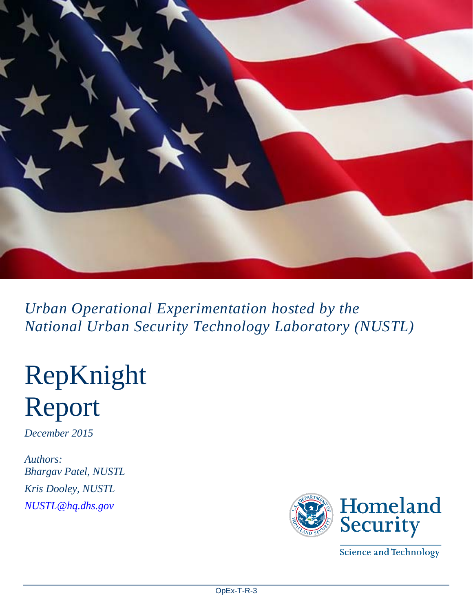

*Urban Operational Experimentation hosted by the National Urban Security Technology Laboratory (NUSTL)*

# RepKnight Report

*December 2015* 

*Authors: Bhargav Patel, NUSTL Kris Dooley, NUSTL [NUSTL@hq.dhs.gov](mailto:NUSTL@hq.dhs.gov)*



**Science and Technology**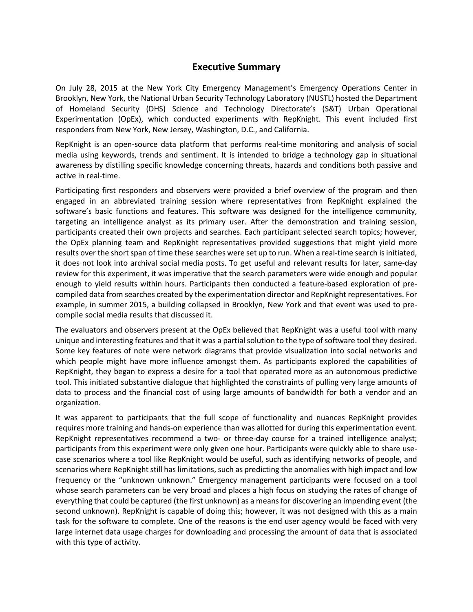#### **Executive Summary**

On July 28, 2015 at the New York City Emergency Management's Emergency Operations Center in Brooklyn, New York, the National Urban Security Technology Laboratory (NUSTL) hosted the Department of Homeland Security (DHS) Science and Technology Directorate's (S&T) Urban Operational Experimentation (OpEx), which conducted experiments with RepKnight. This event included first responders from New York, New Jersey, Washington, D.C., and California.

RepKnight is an open-source data platform that performs real-time monitoring and analysis of social media using keywords, trends and sentiment. It is intended to bridge a technology gap in situational awareness by distilling specific knowledge concerning threats, hazards and conditions both passive and active in real-time.

Participating first responders and observers were provided a brief overview of the program and then engaged in an abbreviated training session where representatives from RepKnight explained the software's basic functions and features. This software was designed for the intelligence community, targeting an intelligence analyst as its primary user. After the demonstration and training session, participants created their own projects and searches. Each participant selected search topics; however, the OpEx planning team and RepKnight representatives provided suggestions that might yield more results over the short span of time these searches were set up to run. When a real-time search is initiated, it does not look into archival social media posts. To get useful and relevant results for later, same-day review for this experiment, it was imperative that the search parameters were wide enough and popular enough to yield results within hours. Participants then conducted a feature-based exploration of precompiled data from searches created by the experimentation director and RepKnight representatives. For example, in summer 2015, a building collapsed in Brooklyn, New York and that event was used to precompile social media results that discussed it.

The evaluators and observers present at the OpEx believed that RepKnight was a useful tool with many unique and interesting features and that it was a partial solution to the type of software tool they desired. Some key features of note were network diagrams that provide visualization into social networks and which people might have more influence amongst them. As participants explored the capabilities of RepKnight, they began to express a desire for a tool that operated more as an autonomous predictive tool. This initiated substantive dialogue that highlighted the constraints of pulling very large amounts of data to process and the financial cost of using large amounts of bandwidth for both a vendor and an organization.

It was apparent to participants that the full scope of functionality and nuances RepKnight provides requires more training and hands-on experience than was allotted for during this experimentation event. RepKnight representatives recommend a two- or three-day course for a trained intelligence analyst; participants from this experiment were only given one hour. Participants were quickly able to share usecase scenarios where a tool like RepKnight would be useful, such as identifying networks of people, and scenarios where RepKnight still has limitations, such as predicting the anomalies with high impact and low frequency or the "unknown unknown." Emergency management participants were focused on a tool whose search parameters can be very broad and places a high focus on studying the rates of change of everything that could be captured (the first unknown) as a means for discovering an impending event (the second unknown). RepKnight is capable of doing this; however, it was not designed with this as a main task for the software to complete. One of the reasons is the end user agency would be faced with very large internet data usage charges for downloading and processing the amount of data that is associated with this type of activity.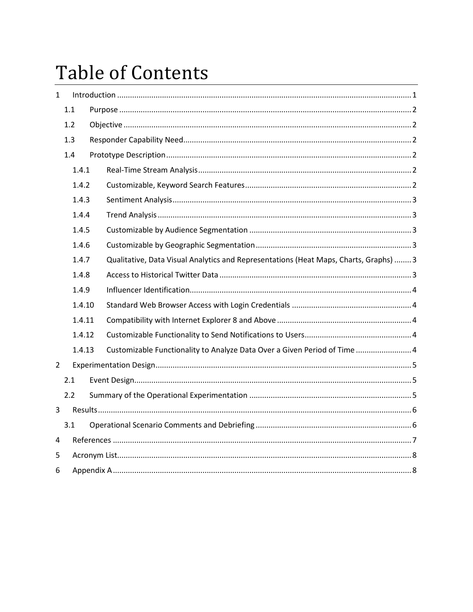## **Table of Contents**

| $\mathbf{1}$   |     |        |  |                                                                                       |  |
|----------------|-----|--------|--|---------------------------------------------------------------------------------------|--|
|                | 1.1 |        |  |                                                                                       |  |
|                | 1.2 |        |  |                                                                                       |  |
|                | 1.3 |        |  |                                                                                       |  |
|                | 1.4 |        |  |                                                                                       |  |
|                |     | 1.4.1  |  |                                                                                       |  |
|                |     | 1.4.2  |  |                                                                                       |  |
|                |     | 1.4.3  |  |                                                                                       |  |
|                |     | 1.4.4  |  |                                                                                       |  |
|                |     | 1.4.5  |  |                                                                                       |  |
|                |     | 1.4.6  |  |                                                                                       |  |
|                |     | 1.4.7  |  | Qualitative, Data Visual Analytics and Representations (Heat Maps, Charts, Graphs)  3 |  |
|                |     | 1.4.8  |  |                                                                                       |  |
|                |     | 1.4.9  |  |                                                                                       |  |
|                |     | 1.4.10 |  |                                                                                       |  |
|                |     | 1.4.11 |  |                                                                                       |  |
|                |     | 1.4.12 |  |                                                                                       |  |
|                |     | 1.4.13 |  | Customizable Functionality to Analyze Data Over a Given Period of Time  4             |  |
| $\overline{2}$ |     |        |  |                                                                                       |  |
|                | 2.1 |        |  |                                                                                       |  |
|                | 2.2 |        |  |                                                                                       |  |
| 3              |     |        |  |                                                                                       |  |
|                | 3.1 |        |  |                                                                                       |  |
| 4              |     |        |  |                                                                                       |  |
| 5              |     |        |  |                                                                                       |  |
| 6              |     |        |  |                                                                                       |  |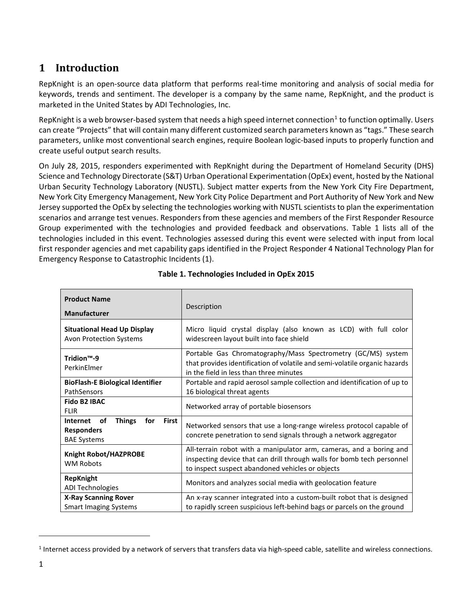## <span id="page-3-0"></span>**1 Introduction**

RepKnight is an open-source data platform that performs real-time monitoring and analysis of social media for keywords, trends and sentiment. The developer is a company by the same name, RepKnight, and the product is marketed in the United States by ADI Technologies, Inc.

RepKnight is a web browser-based system that needs a high speed internet connection<sup>[1](#page-3-1)</sup> to function optimally. Users can create "Projects" that will contain many different customized search parameters known as "tags." These search parameters, unlike most conventional search engines, require Boolean logic-based inputs to properly function and create useful output search results.

On July 28, 2015, responders experimented with RepKnight during the Department of Homeland Security (DHS) Science and Technology Directorate (S&T) Urban Operational Experimentation (OpEx) event, hosted by the National Urban Security Technology Laboratory (NUSTL). Subject matter experts from the New York City Fire Department, New York City Emergency Management, New York City Police Department and Port Authority of New York and New Jersey supported the OpEx by selecting the technologies working with NUSTL scientists to plan the experimentation scenarios and arrange test venues. Responders from these agencies and members of the First Responder Resource Group experimented with the technologies and provided feedback and observations. Table 1 lists all of the technologies included in this event. Technologies assessed during this event were selected with input from local first responder agencies and met capability gaps identified in the Project Responder 4 National Technology Plan for Emergency Response to Catastrophic Incidents (1).

| <b>Product Name</b><br><b>Manufacturer</b>                                                        | Description                                                                                                                                                                                       |
|---------------------------------------------------------------------------------------------------|---------------------------------------------------------------------------------------------------------------------------------------------------------------------------------------------------|
| <b>Situational Head Up Display</b><br><b>Avon Protection Systems</b>                              | Micro liquid crystal display (also known as LCD) with full color<br>widescreen layout built into face shield                                                                                      |
| Tridion <sup>™</sup> -9<br>PerkinElmer                                                            | Portable Gas Chromatography/Mass Spectrometry (GC/MS) system<br>that provides identification of volatile and semi-volatile organic hazards<br>in the field in less than three minutes             |
| <b>BioFlash-E Biological Identifier</b><br>PathSensors                                            | Portable and rapid aerosol sample collection and identification of up to<br>16 biological threat agents                                                                                           |
| <b>Fido B2 IBAC</b><br><b>FLIR</b>                                                                | Networked array of portable biosensors                                                                                                                                                            |
| <b>Things</b><br><b>First</b><br>Internet<br>of<br>for<br><b>Responders</b><br><b>BAE Systems</b> | Networked sensors that use a long-range wireless protocol capable of<br>concrete penetration to send signals through a network aggregator                                                         |
| Knight Robot/HAZPROBE<br><b>WM Robots</b>                                                         | All-terrain robot with a manipulator arm, cameras, and a boring and<br>inspecting device that can drill through walls for bomb tech personnel<br>to inspect suspect abandoned vehicles or objects |
| <b>RepKnight</b><br><b>ADI Technologies</b>                                                       | Monitors and analyzes social media with geolocation feature                                                                                                                                       |
| <b>X-Ray Scanning Rover</b><br><b>Smart Imaging Systems</b>                                       | An x-ray scanner integrated into a custom-built robot that is designed<br>to rapidly screen suspicious left-behind bags or parcels on the ground                                                  |

#### **Table 1. Technologies Included in OpEx 2015**

 $\overline{a}$ 

<span id="page-3-1"></span> $1$  Internet access provided by a network of servers that transfers data via high-speed cable, satellite and wireless connections.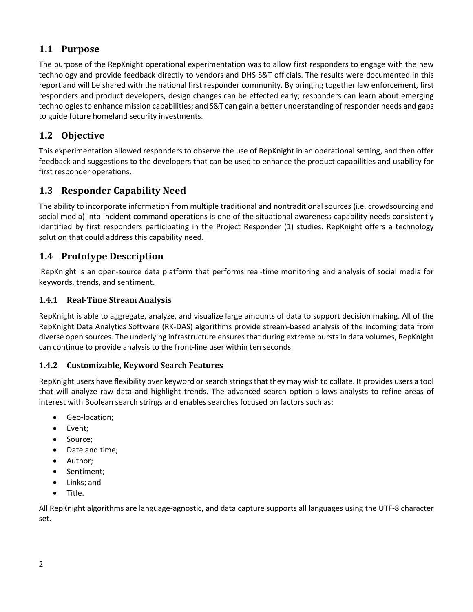## <span id="page-4-0"></span>**1.1 Purpose**

The purpose of the RepKnight operational experimentation was to allow first responders to engage with the new technology and provide feedback directly to vendors and DHS S&T officials. The results were documented in this report and will be shared with the national first responder community. By bringing together law enforcement, first responders and product developers, design changes can be effected early; responders can learn about emerging technologies to enhance mission capabilities; and S&T can gain a better understanding of responder needs and gaps to guide future homeland security investments.

## <span id="page-4-1"></span>**1.2 Objective**

This experimentation allowed responders to observe the use of RepKnight in an operational setting, and then offer feedback and suggestions to the developers that can be used to enhance the product capabilities and usability for first responder operations.

## <span id="page-4-2"></span>**1.3 Responder Capability Need**

The ability to incorporate information from multiple traditional and nontraditional sources (i.e. crowdsourcing and social media) into incident command operations is one of the situational awareness capability needs consistently identified by first responders participating in the Project Responder (1) studies. RepKnight offers a technology solution that could address this capability need.

## <span id="page-4-3"></span>**1.4 Prototype Description**

RepKnight is an open-source data platform that performs real-time monitoring and analysis of social media for keywords, trends, and sentiment.

#### <span id="page-4-4"></span>**1.4.1 Real-Time Stream Analysis**

RepKnight is able to aggregate, analyze, and visualize large amounts of data to support decision making. All of the RepKnight Data Analytics Software (RK-DAS) algorithms provide stream-based analysis of the incoming data from diverse open sources. The underlying infrastructure ensures that during extreme bursts in data volumes, RepKnight can continue to provide analysis to the front-line user within ten seconds.

#### <span id="page-4-5"></span>**1.4.2 Customizable, Keyword Search Features**

RepKnight users have flexibility over keyword or search strings that they may wish to collate. It provides users a tool that will analyze raw data and highlight trends. The advanced search option allows analysts to refine areas of interest with Boolean search strings and enables searches focused on factors such as:

- Geo-location;
- Event;
- Source;
- Date and time;
- Author;
- Sentiment;
- Links; and
- Title.

All RepKnight algorithms are language-agnostic, and data capture supports all languages using the UTF-8 character set.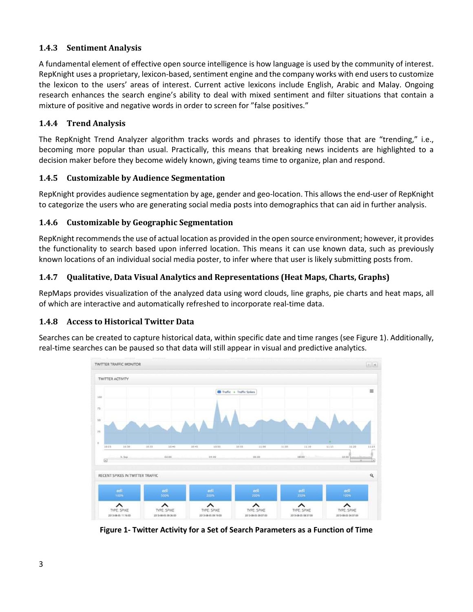#### <span id="page-5-0"></span>**1.4.3 Sentiment Analysis**

A fundamental element of effective open source intelligence is how language is used by the community of interest. RepKnight uses a proprietary, lexicon-based, sentiment engine and the company works with end users to customize the lexicon to the users' areas of interest. Current active lexicons include English, Arabic and Malay. Ongoing research enhances the search engine's ability to deal with mixed sentiment and filter situations that contain a mixture of positive and negative words in order to screen for "false positives."

#### <span id="page-5-1"></span>**1.4.4 Trend Analysis**

The RepKnight Trend Analyzer algorithm tracks words and phrases to identify those that are "trending," i.e., becoming more popular than usual. Practically, this means that breaking news incidents are highlighted to a decision maker before they become widely known, giving teams time to organize, plan and respond.

#### <span id="page-5-2"></span>**1.4.5 Customizable by Audience Segmentation**

RepKnight provides audience segmentation by age, gender and geo-location. This allows the end-user of RepKnight to categorize the users who are generating social media posts into demographics that can aid in further analysis.

#### <span id="page-5-3"></span>**1.4.6 Customizable by Geographic Segmentation**

RepKnight recommends the use of actual location as provided in the open source environment; however, it provides the functionality to search based upon inferred location. This means it can use known data, such as previously known locations of an individual social media poster, to infer where that user is likely submitting posts from.

#### <span id="page-5-4"></span>**1.4.7 Qualitative, Data Visual Analytics and Representations (Heat Maps, Charts, Graphs)**

RepMaps provides visualization of the analyzed data using word clouds, line graphs, pie charts and heat maps, all of which are interactive and automatically refreshed to incorporate real-time data.

#### <span id="page-5-5"></span>**1.4.8 Access to Historical Twitter Data**

Searches can be created to capture historical data, within specific date and time ranges (see Figure 1). Additionally, real-time searches can be paused so that data will still appear in visual and predictive analytics.



**Figure 1- Twitter Activity for a Set of Search Parameters as a Function of Time**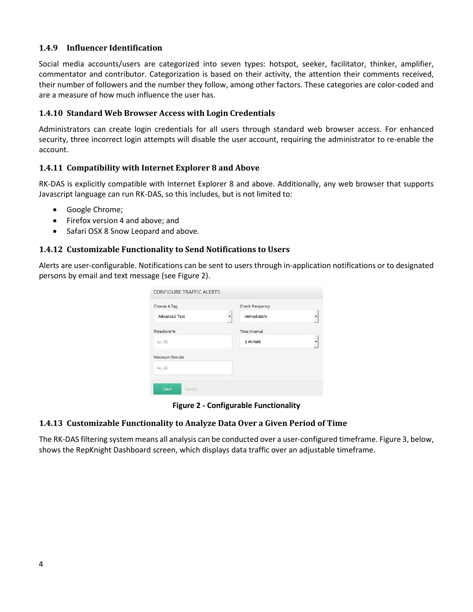#### <span id="page-6-0"></span>**1.4.9 Influencer Identification**

Social media accounts/users are categorized into seven types: hotspot, seeker, facilitator, thinker, amplifier, commentator and contributor. Categorization is based on their activity, the attention their comments received, their number of followers and the number they follow, among other factors. These categories are color-coded and are a measure of how much influence the user has.

#### <span id="page-6-1"></span>**1.4.10 Standard Web Browser Access with Login Credentials**

Administrators can create login credentials for all users through standard web browser access. For enhanced security, three incorrect login attempts will disable the user account, requiring the administrator to re-enable the account.

#### <span id="page-6-2"></span>**1.4.11 Compatibility with Internet Explorer 8 and Above**

RK-DAS is explicitly compatible with Internet Explorer 8 and above. Additionally, any web browser that supports Javascript language can run RK-DAS, so this includes, but is not limited to:

- Google Chrome;
- Firefox version 4 and above; and
- Safari OSX 8 Snow Leopard and above.

#### <span id="page-6-3"></span>**1.4.12 Customizable Functionality to Send Notifications to Users**

Alerts are user-configurable. Notifications can be sent to users through in-application notifications or to designated persons by email and text message (see Figure 2).

| Choose A Tag         | <b>Check Frequency</b> |  |
|----------------------|------------------------|--|
| <b>Advanced Test</b> | Immediately            |  |
| Threshold %          | <b>Time Interval</b>   |  |
| I.e. 76              | 1 minute               |  |
| Minimum Results      |                        |  |
| I.e. 10              |                        |  |

**Figure 2 - Configurable Functionality**

#### <span id="page-6-4"></span>**1.4.13 Customizable Functionality to Analyze Data Over a Given Period of Time**

The RK-DAS filtering system means all analysis can be conducted over a user-configured timeframe. Figure 3, below, shows the RepKnight Dashboard screen, which displays data traffic over an adjustable timeframe.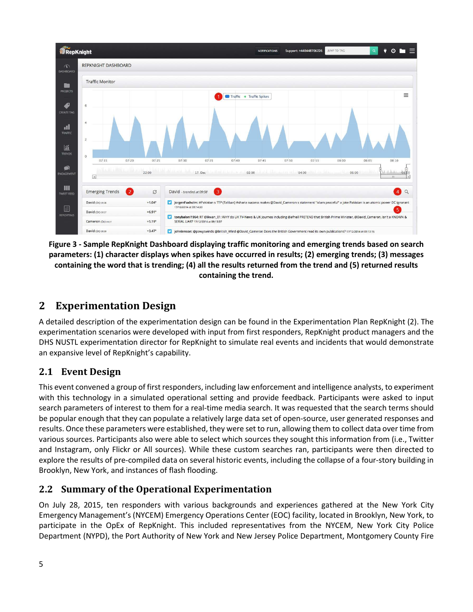

**Figure 3 - Sample RepKnight Dashboard displaying traffic monitoring and emerging trends based on search parameters: (1) character displays when spikes have occurred in results; (2) emerging trends; (3) messages containing the word that is trending; (4) all the results returned from the trend and (5) returned results containing the trend.** 

## <span id="page-7-0"></span>**2 Experimentation Design**

A detailed description of the experimentation design can be found in the Experimentation Plan RepKnight (2). The experimentation scenarios were developed with input from first responders, RepKnight product managers and the DHS NUSTL experimentation director for RepKnight to simulate real events and incidents that would demonstrate an expansive level of RepKnight's capability.

## <span id="page-7-1"></span>**2.1 Event Design**

This event convened a group of first responders, including law enforcement and intelligence analysts, to experiment with this technology in a simulated operational setting and provide feedback. Participants were asked to input search parameters of interest to them for a real-time media search. It was requested that the search terms should be popular enough that they can populate a relatively large data set of open-source, user generated responses and results. Once these parameters were established, they were set to run, allowing them to collect data over time from various sources. Participants also were able to select which sources they sought this information from (i.e., Twitter and Instagram, only Flickr or All sources). While these custom searches ran, participants were then directed to explore the results of pre-compiled data on several historic events, including the collapse of a four-story building in Brooklyn, New York, and instances of flash flooding.

## <span id="page-7-2"></span>**2.2 Summary of the Operational Experimentation**

On July 28, 2015, ten responders with various backgrounds and experiences gathered at the New York City Emergency Management's (NYCEM) Emergency Operations Center (EOC) facility, located in Brooklyn, New York, to participate in the OpEx of RepKnight. This included representatives from the NYCEM, New York City Police Department (NYPD), the Port Authority of New York and New Jersey Police Department, Montgomery County Fire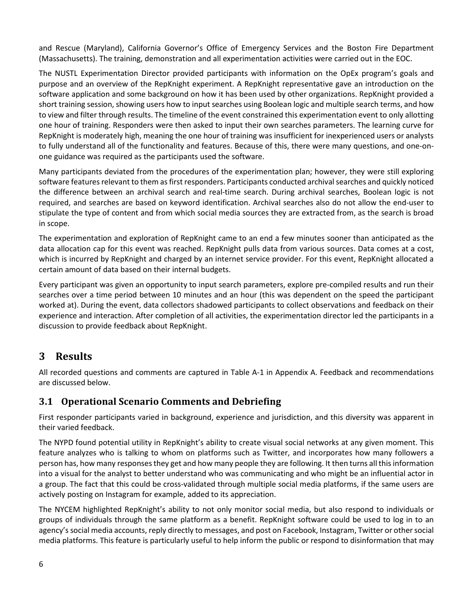and Rescue (Maryland), California Governor's Office of Emergency Services and the Boston Fire Department (Massachusetts). The training, demonstration and all experimentation activities were carried out in the EOC.

The NUSTL Experimentation Director provided participants with information on the OpEx program's goals and purpose and an overview of the RepKnight experiment. A RepKnight representative gave an introduction on the software application and some background on how it has been used by other organizations. RepKnight provided a short training session, showing users how to input searches using Boolean logic and multiple search terms, and how to view and filter through results. The timeline of the event constrained this experimentation event to only allotting one hour of training. Responders were then asked to input their own searches parameters. The learning curve for RepKnight is moderately high, meaning the one hour of training was insufficient for inexperienced users or analysts to fully understand all of the functionality and features. Because of this, there were many questions, and one-onone guidance was required as the participants used the software.

Many participants deviated from the procedures of the experimentation plan; however, they were still exploring software features relevant to them as first responders. Participants conducted archival searches and quickly noticed the difference between an archival search and real-time search. During archival searches, Boolean logic is not required, and searches are based on keyword identification. Archival searches also do not allow the end-user to stipulate the type of content and from which social media sources they are extracted from, as the search is broad in scope.

The experimentation and exploration of RepKnight came to an end a few minutes sooner than anticipated as the data allocation cap for this event was reached. RepKnight pulls data from various sources. Data comes at a cost, which is incurred by RepKnight and charged by an internet service provider. For this event, RepKnight allocated a certain amount of data based on their internal budgets.

Every participant was given an opportunity to input search parameters, explore pre-compiled results and run their searches over a time period between 10 minutes and an hour (this was dependent on the speed the participant worked at). During the event, data collectors shadowed participants to collect observations and feedback on their experience and interaction. After completion of all activities, the experimentation director led the participants in a discussion to provide feedback about RepKnight.

## <span id="page-8-0"></span>**3 Results**

All recorded questions and comments are captured in Table A-1 in Appendix A. Feedback and recommendations are discussed below.

## <span id="page-8-1"></span>**3.1 Operational Scenario Comments and Debriefing**

First responder participants varied in background, experience and jurisdiction, and this diversity was apparent in their varied feedback.

The NYPD found potential utility in RepKnight's ability to create visual social networks at any given moment. This feature analyzes who is talking to whom on platforms such as Twitter, and incorporates how many followers a person has, how many responses they get and how many people they are following. It then turns all this information into a visual for the analyst to better understand who was communicating and who might be an influential actor in a group. The fact that this could be cross-validated through multiple social media platforms, if the same users are actively posting on Instagram for example, added to its appreciation.

The NYCEM highlighted RepKnight's ability to not only monitor social media, but also respond to individuals or groups of individuals through the same platform as a benefit. RepKnight software could be used to log in to an agency's social media accounts, reply directly to messages, and post on Facebook, Instagram, Twitter or other social media platforms. This feature is particularly useful to help inform the public or respond to disinformation that may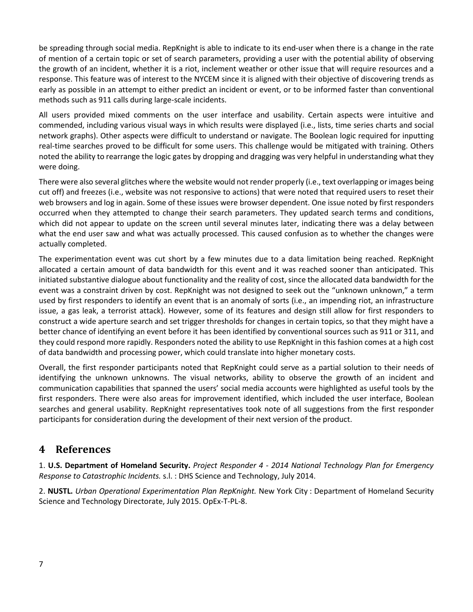be spreading through social media. RepKnight is able to indicate to its end-user when there is a change in the rate of mention of a certain topic or set of search parameters, providing a user with the potential ability of observing the growth of an incident, whether it is a riot, inclement weather or other issue that will require resources and a response. This feature was of interest to the NYCEM since it is aligned with their objective of discovering trends as early as possible in an attempt to either predict an incident or event, or to be informed faster than conventional methods such as 911 calls during large-scale incidents.

All users provided mixed comments on the user interface and usability. Certain aspects were intuitive and commended, including various visual ways in which results were displayed (i.e., lists, time series charts and social network graphs). Other aspects were difficult to understand or navigate. The Boolean logic required for inputting real-time searches proved to be difficult for some users. This challenge would be mitigated with training. Others noted the ability to rearrange the logic gates by dropping and dragging was very helpful in understanding what they were doing.

There were also several glitches where the website would not render properly (i.e., text overlapping or images being cut off) and freezes (i.e., website was not responsive to actions) that were noted that required users to reset their web browsers and log in again. Some of these issues were browser dependent. One issue noted by first responders occurred when they attempted to change their search parameters. They updated search terms and conditions, which did not appear to update on the screen until several minutes later, indicating there was a delay between what the end user saw and what was actually processed. This caused confusion as to whether the changes were actually completed.

The experimentation event was cut short by a few minutes due to a data limitation being reached. RepKnight allocated a certain amount of data bandwidth for this event and it was reached sooner than anticipated. This initiated substantive dialogue about functionality and the reality of cost, since the allocated data bandwidth for the event was a constraint driven by cost. RepKnight was not designed to seek out the "unknown unknown," a term used by first responders to identify an event that is an anomaly of sorts (i.e., an impending riot, an infrastructure issue, a gas leak, a terrorist attack). However, some of its features and design still allow for first responders to construct a wide aperture search and set trigger thresholds for changes in certain topics, so that they might have a better chance of identifying an event before it has been identified by conventional sources such as 911 or 311, and they could respond more rapidly. Responders noted the ability to use RepKnight in this fashion comes at a high cost of data bandwidth and processing power, which could translate into higher monetary costs.

Overall, the first responder participants noted that RepKnight could serve as a partial solution to their needs of identifying the unknown unknowns. The visual networks, ability to observe the growth of an incident and communication capabilities that spanned the users' social media accounts were highlighted as useful tools by the first responders. There were also areas for improvement identified, which included the user interface, Boolean searches and general usability. RepKnight representatives took note of all suggestions from the first responder participants for consideration during the development of their next version of the product.

## <span id="page-9-0"></span>**4 References**

1. **U.S. Department of Homeland Security.** *Project Responder 4 - 2014 National Technology Plan for Emergency Response to Catastrophic Incidents.* s.l. : DHS Science and Technology, July 2014.

2. **NUSTL.** *Urban Operational Experimentation Plan RepKnight.* New York City : Department of Homeland Security Science and Technology Directorate, July 2015. OpEx-T-PL-8.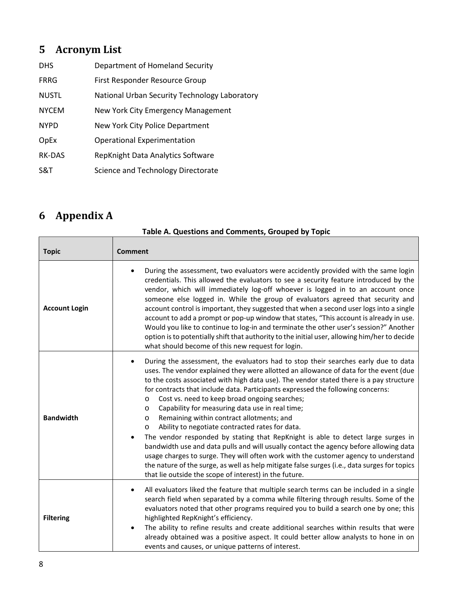## <span id="page-10-0"></span>**5 Acronym List**

| <b>DHS</b>    | Department of Homeland Security               |
|---------------|-----------------------------------------------|
| <b>FRRG</b>   | First Responder Resource Group                |
| <b>NUSTL</b>  | National Urban Security Technology Laboratory |
| <b>NYCEM</b>  | New York City Emergency Management            |
| <b>NYPD</b>   | New York City Police Department               |
| OpEx          | <b>Operational Experimentation</b>            |
| <b>RK-DAS</b> | RepKnight Data Analytics Software             |
| S&T           | Science and Technology Directorate            |

## <span id="page-10-1"></span>**6 Appendix A**

| <b>Topic</b>         | <b>Comment</b>                                                                                                                                                                                                                                                                                                                                                                                                                                                                                                                                                                                                                                                                                                                                                                                                                                                                                                                                                                                                                                                    |
|----------------------|-------------------------------------------------------------------------------------------------------------------------------------------------------------------------------------------------------------------------------------------------------------------------------------------------------------------------------------------------------------------------------------------------------------------------------------------------------------------------------------------------------------------------------------------------------------------------------------------------------------------------------------------------------------------------------------------------------------------------------------------------------------------------------------------------------------------------------------------------------------------------------------------------------------------------------------------------------------------------------------------------------------------------------------------------------------------|
| <b>Account Login</b> | During the assessment, two evaluators were accidently provided with the same login<br>$\bullet$<br>credentials. This allowed the evaluators to see a security feature introduced by the<br>vendor, which will immediately log-off whoever is logged in to an account once<br>someone else logged in. While the group of evaluators agreed that security and<br>account control is important, they suggested that when a second user logs into a single<br>account to add a prompt or pop-up window that states, "This account is already in use.<br>Would you like to continue to log-in and terminate the other user's session?" Another<br>option is to potentially shift that authority to the initial user, allowing him/her to decide<br>what should become of this new request for login.                                                                                                                                                                                                                                                                   |
| <b>Bandwidth</b>     | During the assessment, the evaluators had to stop their searches early due to data<br>$\bullet$<br>uses. The vendor explained they were allotted an allowance of data for the event (due<br>to the costs associated with high data use). The vendor stated there is a pay structure<br>for contracts that include data. Participants expressed the following concerns:<br>Cost vs. need to keep broad ongoing searches;<br>$\circ$<br>Capability for measuring data use in real time;<br>$\circ$<br>Remaining within contract allotments; and<br>$\circ$<br>Ability to negotiate contracted rates for data.<br>$\circ$<br>The vendor responded by stating that RepKnight is able to detect large surges in<br>$\bullet$<br>bandwidth use and data pulls and will usually contact the agency before allowing data<br>usage charges to surge. They will often work with the customer agency to understand<br>the nature of the surge, as well as help mitigate false surges (i.e., data surges for topics<br>that lie outside the scope of interest) in the future. |
| <b>Filtering</b>     | All evaluators liked the feature that multiple search terms can be included in a single<br>٠<br>search field when separated by a comma while filtering through results. Some of the<br>evaluators noted that other programs required you to build a search one by one; this<br>highlighted RepKnight's efficiency.<br>The ability to refine results and create additional searches within results that were<br>already obtained was a positive aspect. It could better allow analysts to hone in on<br>events and causes, or unique patterns of interest.                                                                                                                                                                                                                                                                                                                                                                                                                                                                                                         |

**Table A. Questions and Comments, Grouped by Topic**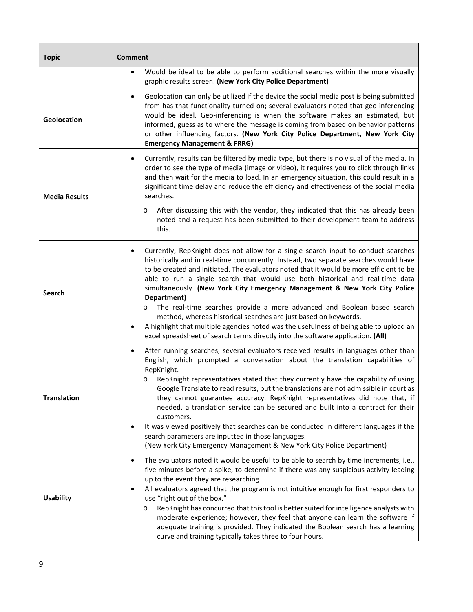| <b>Topic</b>         | <b>Comment</b>                                                                                                                                                                                                                                                                                                                                                                                                                                                                                                                                                                                                                                                                                                                                                                                |
|----------------------|-----------------------------------------------------------------------------------------------------------------------------------------------------------------------------------------------------------------------------------------------------------------------------------------------------------------------------------------------------------------------------------------------------------------------------------------------------------------------------------------------------------------------------------------------------------------------------------------------------------------------------------------------------------------------------------------------------------------------------------------------------------------------------------------------|
|                      | Would be ideal to be able to perform additional searches within the more visually<br>$\bullet$<br>graphic results screen. (New York City Police Department)                                                                                                                                                                                                                                                                                                                                                                                                                                                                                                                                                                                                                                   |
| Geolocation          | Geolocation can only be utilized if the device the social media post is being submitted<br>٠<br>from has that functionality turned on; several evaluators noted that geo-inferencing<br>would be ideal. Geo-inferencing is when the software makes an estimated, but<br>informed, guess as to where the message is coming from based on behavior patterns<br>or other influencing factors. (New York City Police Department, New York City<br><b>Emergency Management &amp; FRRG)</b>                                                                                                                                                                                                                                                                                                         |
| <b>Media Results</b> | Currently, results can be filtered by media type, but there is no visual of the media. In<br>٠<br>order to see the type of media (image or video), it requires you to click through links<br>and then wait for the media to load. In an emergency situation, this could result in a<br>significant time delay and reduce the efficiency and effectiveness of the social media<br>searches.<br>After discussing this with the vendor, they indicated that this has already been<br>O<br>noted and a request has been submitted to their development team to address<br>this.                                                                                                                                                                                                                   |
| <b>Search</b>        | Currently, RepKnight does not allow for a single search input to conduct searches<br>٠<br>historically and in real-time concurrently. Instead, two separate searches would have<br>to be created and initiated. The evaluators noted that it would be more efficient to be<br>able to run a single search that would use both historical and real-time data<br>simultaneously. (New York City Emergency Management & New York City Police<br>Department)<br>The real-time searches provide a more advanced and Boolean based search<br>O<br>method, whereas historical searches are just based on keywords.<br>A highlight that multiple agencies noted was the usefulness of being able to upload an<br>٠<br>excel spreadsheet of search terms directly into the software application. (All) |
| <b>Translation</b>   | After running searches, several evaluators received results in languages other than<br>٠<br>English, which prompted a conversation about the translation capabilities of<br>RepKnight.<br>RepKnight representatives stated that they currently have the capability of using<br>O<br>Google Translate to read results, but the translations are not admissible in court as<br>they cannot guarantee accuracy. RepKnight representatives did note that, if<br>needed, a translation service can be secured and built into a contract for their<br>customers.<br>It was viewed positively that searches can be conducted in different languages if the<br>٠<br>search parameters are inputted in those languages.<br>(New York City Emergency Management & New York City Police Department)      |
| <b>Usability</b>     | The evaluators noted it would be useful to be able to search by time increments, i.e.,<br>٠<br>five minutes before a spike, to determine if there was any suspicious activity leading<br>up to the event they are researching.<br>All evaluators agreed that the program is not intuitive enough for first responders to<br>use "right out of the box."<br>RepKnight has concurred that this tool is better suited for intelligence analysts with<br>O<br>moderate experience; however, they feel that anyone can learn the software if<br>adequate training is provided. They indicated the Boolean search has a learning<br>curve and training typically takes three to four hours.                                                                                                         |